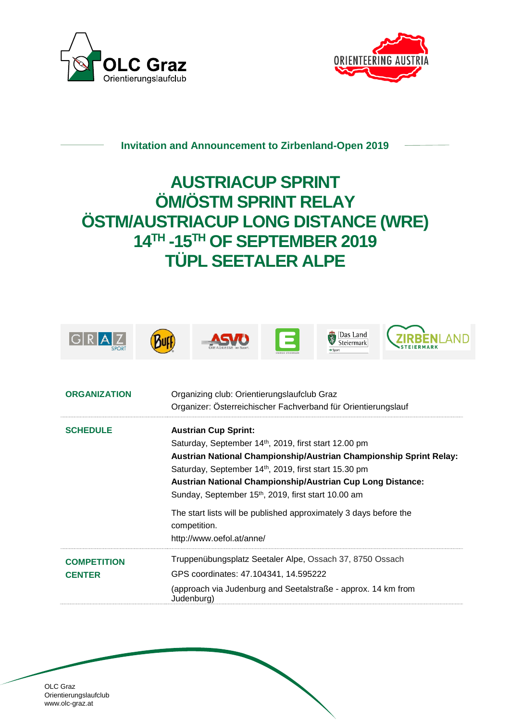



## **Invitation and Announcement to Zirbenland-Open 2019**

## **AUSTRIACUP SPRINT ÖM/ÖSTM SPRINT RELAY ÖSTM/AUSTRIACUP LONG DISTANCE (WRE) 14TH -15TH OF SEPTEMBER 2019 TÜPL SEETALER ALPE**



| <b>SCHEDULE</b>    | <b>Austrian Cup Sprint:</b>                                                       |
|--------------------|-----------------------------------------------------------------------------------|
|                    | Saturday, September 14 <sup>th</sup> , 2019, first start 12.00 pm                 |
|                    | Austrian National Championship/Austrian Championship Sprint Relay:                |
|                    | Saturday, September 14 <sup>th</sup> , 2019, first start 15.30 pm                 |
|                    | Austrian National Championship/Austrian Cup Long Distance:                        |
|                    | Sunday, September 15 <sup>th</sup> , 2019, first start 10.00 am                   |
|                    | The start lists will be published approximately 3 days before the<br>competition. |
|                    | http://www.oefol.at/anne/                                                         |
| <b>COMPETITION</b> | Truppenübungsplatz Seetaler Alpe, Ossach 37, 8750 Ossach                          |
| <b>CENTER</b>      | GPS coordinates: 47.104341, 14.595222                                             |
|                    | (approach via Judenburg and Seetalstraße - approx. 14 km from<br>Judenburg)       |
|                    |                                                                                   |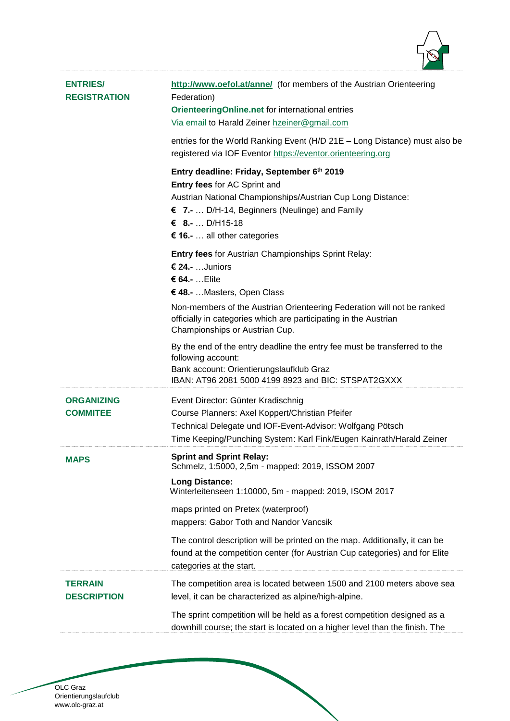

| <b>ENTRIES/</b><br><b>REGISTRATION</b> | http://www.oefol.at/anne/ (for members of the Austrian Orienteering<br>Federation)<br>OrienteeringOnline.net for international entries<br>Via email to Harald Zeiner hzeiner@gmail.com                                                         |
|----------------------------------------|------------------------------------------------------------------------------------------------------------------------------------------------------------------------------------------------------------------------------------------------|
|                                        | entries for the World Ranking Event (H/D 21E - Long Distance) must also be<br>registered via IOF Eventor https://eventor.orienteering.org                                                                                                      |
|                                        | Entry deadline: Friday, September 6th 2019<br>Entry fees for AC Sprint and<br>Austrian National Championships/Austrian Cup Long Distance:<br>€ 7.-  D/H-14, Beginners (Neulinge) and Family<br>€ 8.- D/H15-18<br>€ 16 .-  all other categories |
|                                        | <b>Entry fees for Austrian Championships Sprint Relay:</b><br>€ 24 .- Juniors<br>€ 64.-  Elite<br>€ 48.-  Masters, Open Class                                                                                                                  |
|                                        | Non-members of the Austrian Orienteering Federation will not be ranked<br>officially in categories which are participating in the Austrian<br>Championships or Austrian Cup.                                                                   |
|                                        | By the end of the entry deadline the entry fee must be transferred to the<br>following account:<br>Bank account: Orientierungslaufklub Graz<br>IBAN: AT96 2081 5000 4199 8923 and BIC: STSPAT2GXXX                                             |
| <b>ORGANIZING</b><br><b>COMMITEE</b>   | Event Director: Günter Kradischnig<br>Course Planners: Axel Koppert/Christian Pfeifer<br>Technical Delegate und IOF-Event-Advisor: Wolfgang Pötsch<br>Time Keeping/Punching System: Karl Fink/Eugen Kainrath/Harald Zeiner                     |
| <b>MAPS</b>                            | <b>Sprint and Sprint Relav:</b><br>Schmelz, 1:5000, 2,5m - mapped: 2019, ISSOM 2007<br><b>Long Distance:</b>                                                                                                                                   |
|                                        | Winterleitenseen 1:10000, 5m - mapped: 2019, ISOM 2017<br>maps printed on Pretex (waterproof)<br>mappers: Gabor Toth and Nandor Vancsik                                                                                                        |
|                                        | The control description will be printed on the map. Additionally, it can be<br>found at the competition center (for Austrian Cup categories) and for Elite<br>categories at the start.                                                         |
| <b>TERRAIN</b><br><b>DESCRIPTION</b>   | The competition area is located between 1500 and 2100 meters above sea<br>level, it can be characterized as alpine/high-alpine.                                                                                                                |
|                                        | The sprint competition will be held as a forest competition designed as a<br>downhill course; the start is located on a higher level than the finish. The                                                                                      |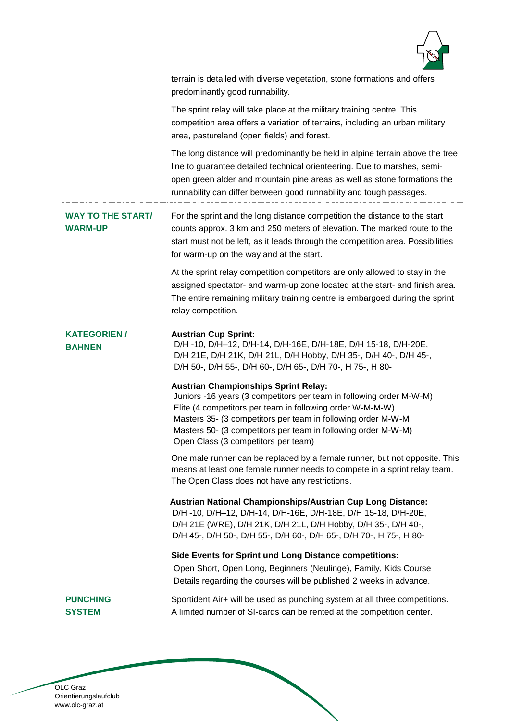

|                                            | terrain is detailed with diverse vegetation, stone formations and offers<br>predominantly good runnability.                                                                                                                                                                                                                                             |
|--------------------------------------------|---------------------------------------------------------------------------------------------------------------------------------------------------------------------------------------------------------------------------------------------------------------------------------------------------------------------------------------------------------|
|                                            | The sprint relay will take place at the military training centre. This<br>competition area offers a variation of terrains, including an urban military<br>area, pastureland (open fields) and forest.                                                                                                                                                   |
|                                            | The long distance will predominantly be held in alpine terrain above the tree<br>line to guarantee detailed technical orienteering. Due to marshes, semi-<br>open green alder and mountain pine areas as well as stone formations the<br>runnability can differ between good runnability and tough passages.                                            |
| <b>WAY TO THE START/</b><br><b>WARM-UP</b> | For the sprint and the long distance competition the distance to the start<br>counts approx. 3 km and 250 meters of elevation. The marked route to the<br>start must not be left, as it leads through the competition area. Possibilities<br>for warm-up on the way and at the start.                                                                   |
|                                            | At the sprint relay competition competitors are only allowed to stay in the<br>assigned spectator- and warm-up zone located at the start- and finish area.<br>The entire remaining military training centre is embargoed during the sprint<br>relay competition.                                                                                        |
| <b>KATEGORIEN/</b><br><b>BAHNEN</b>        | <b>Austrian Cup Sprint:</b><br>D/H-10, D/H-12, D/H-14, D/H-16E, D/H-18E, D/H 15-18, D/H-20E,<br>D/H 21E, D/H 21K, D/H 21L, D/H Hobby, D/H 35-, D/H 40-, D/H 45-,<br>D/H 50-, D/H 55-, D/H 60-, D/H 65-, D/H 70-, H 75-, H 80-                                                                                                                           |
|                                            | <b>Austrian Championships Sprint Relay:</b><br>Juniors -16 years (3 competitors per team in following order M-W-M)<br>Elite (4 competitors per team in following order W-M-M-W)<br>Masters 35- (3 competitors per team in following order M-W-M<br>Masters 50- (3 competitors per team in following order M-W-M)<br>Open Class (3 competitors per team) |
|                                            | One male runner can be replaced by a female runner, but not opposite. This<br>means at least one female runner needs to compete in a sprint relay team.<br>The Open Class does not have any restrictions.                                                                                                                                               |
|                                            | Austrian National Championships/Austrian Cup Long Distance:<br>D/H-10, D/H-12, D/H-14, D/H-16E, D/H-18E, D/H 15-18, D/H-20E,<br>D/H 21E (WRE), D/H 21K, D/H 21L, D/H Hobby, D/H 35-, D/H 40-,<br>D/H 45-, D/H 50-, D/H 55-, D/H 60-, D/H 65-, D/H 70-, H 75-, H 80-                                                                                     |
|                                            | Side Events for Sprint und Long Distance competitions:<br>Open Short, Open Long, Beginners (Neulinge), Family, Kids Course<br>Details regarding the courses will be published 2 weeks in advance.                                                                                                                                                       |
|                                            |                                                                                                                                                                                                                                                                                                                                                         |